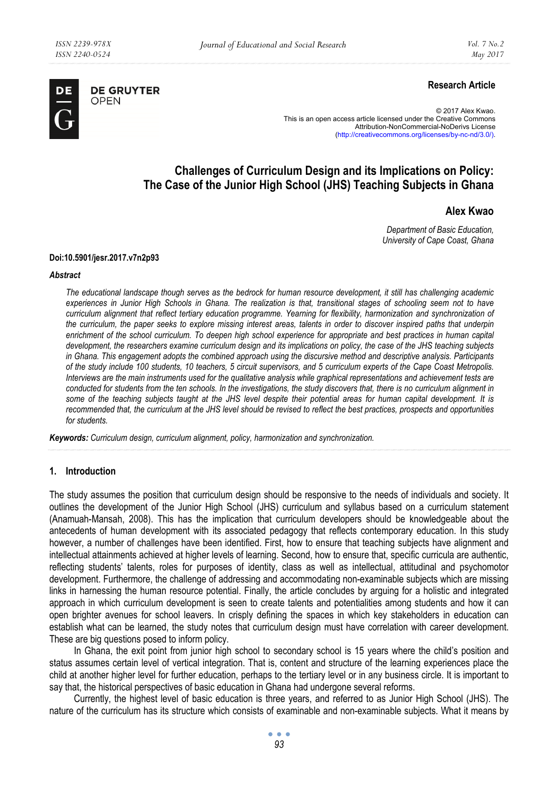

**DE GRUYTER** OPEN

# **Research Article**

© 2017 Alex Kwao. This is an open access article licensed under the Creative Commons Attribution-NonCommercial-NoDerivs License (http://creativecommons.org/licenses/by-nc-nd/3.0/).

# **Challenges of Curriculum Design and its Implications on Policy: The Case of the Junior High School (JHS) Teaching Subjects in Ghana**

# **Alex Kwao**

*Department of Basic Education, University of Cape Coast, Ghana* 

#### **Doi:10.5901/jesr.2017.v7n2p93**

#### *Abstract*

*The educational landscape though serves as the bedrock for human resource development, it still has challenging academic experiences in Junior High Schools in Ghana. The realization is that, transitional stages of schooling seem not to have curriculum alignment that reflect tertiary education programme. Yearning for flexibility, harmonization and synchronization of the curriculum, the paper seeks to explore missing interest areas, talents in order to discover inspired paths that underpin enrichment of the school curriculum. To deepen high school experience for appropriate and best practices in human capital development, the researchers examine curriculum design and its implications on policy, the case of the JHS teaching subjects in Ghana. This engagement adopts the combined approach using the discursive method and descriptive analysis. Participants of the study include 100 students, 10 teachers, 5 circuit supervisors, and 5 curriculum experts of the Cape Coast Metropolis. Interviews are the main instruments used for the qualitative analysis while graphical representations and achievement tests are conducted for students from the ten schools. In the investigations, the study discovers that, there is no curriculum alignment in some of the teaching subjects taught at the JHS level despite their potential areas for human capital development. It is recommended that, the curriculum at the JHS level should be revised to reflect the best practices, prospects and opportunities for students.* 

*Keywords: Curriculum design, curriculum alignment, policy, harmonization and synchronization.* 

### **1. Introduction**

The study assumes the position that curriculum design should be responsive to the needs of individuals and society. It outlines the development of the Junior High School (JHS) curriculum and syllabus based on a curriculum statement (Anamuah-Mansah, 2008). This has the implication that curriculum developers should be knowledgeable about the antecedents of human development with its associated pedagogy that reflects contemporary education. In this study however, a number of challenges have been identified. First, how to ensure that teaching subjects have alignment and intellectual attainments achieved at higher levels of learning. Second, how to ensure that, specific curricula are authentic, reflecting students' talents, roles for purposes of identity, class as well as intellectual, attitudinal and psychomotor development. Furthermore, the challenge of addressing and accommodating non-examinable subjects which are missing links in harnessing the human resource potential. Finally, the article concludes by arguing for a holistic and integrated approach in which curriculum development is seen to create talents and potentialities among students and how it can open brighter avenues for school leavers. In crisply defining the spaces in which key stakeholders in education can establish what can be learned, the study notes that curriculum design must have correlation with career development. These are big questions posed to inform policy.

In Ghana, the exit point from junior high school to secondary school is 15 years where the child's position and status assumes certain level of vertical integration. That is, content and structure of the learning experiences place the child at another higher level for further education, perhaps to the tertiary level or in any business circle. It is important to say that, the historical perspectives of basic education in Ghana had undergone several reforms.

Currently, the highest level of basic education is three years, and referred to as Junior High School (JHS). The nature of the curriculum has its structure which consists of examinable and non-examinable subjects. What it means by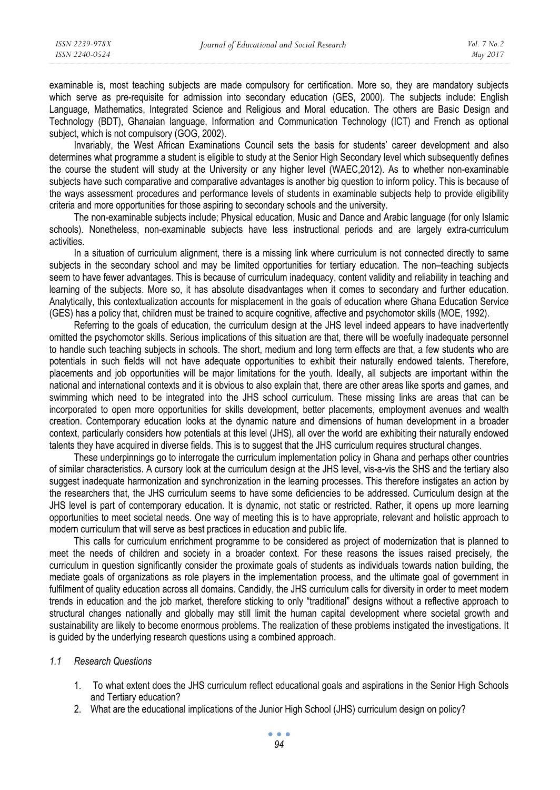examinable is, most teaching subjects are made compulsory for certification. More so, they are mandatory subjects which serve as pre-requisite for admission into secondary education (GES, 2000). The subjects include: English Language, Mathematics, Integrated Science and Religious and Moral education. The others are Basic Design and Technology (BDT), Ghanaian language, Information and Communication Technology (ICT) and French as optional subject, which is not compulsory (GOG, 2002).

Invariably, the West African Examinations Council sets the basis for students' career development and also determines what programme a student is eligible to study at the Senior High Secondary level which subsequently defines the course the student will study at the University or any higher level (WAEC,2012). As to whether non-examinable subjects have such comparative and comparative advantages is another big question to inform policy. This is because of the ways assessment procedures and performance levels of students in examinable subjects help to provide eligibility criteria and more opportunities for those aspiring to secondary schools and the university.

The non-examinable subjects include; Physical education, Music and Dance and Arabic language (for only Islamic schools). Nonetheless, non-examinable subjects have less instructional periods and are largely extra-curriculum activities.

In a situation of curriculum alignment, there is a missing link where curriculum is not connected directly to same subjects in the secondary school and may be limited opportunities for tertiary education. The non–teaching subjects seem to have fewer advantages. This is because of curriculum inadequacy, content validity and reliability in teaching and learning of the subjects. More so, it has absolute disadvantages when it comes to secondary and further education. Analytically, this contextualization accounts for misplacement in the goals of education where Ghana Education Service (GES) has a policy that, children must be trained to acquire cognitive, affective and psychomotor skills (MOE, 1992).

Referring to the goals of education, the curriculum design at the JHS level indeed appears to have inadvertently omitted the psychomotor skills. Serious implications of this situation are that, there will be woefully inadequate personnel to handle such teaching subjects in schools. The short, medium and long term effects are that, a few students who are potentials in such fields will not have adequate opportunities to exhibit their naturally endowed talents. Therefore, placements and job opportunities will be major limitations for the youth. Ideally, all subjects are important within the national and international contexts and it is obvious to also explain that, there are other areas like sports and games, and swimming which need to be integrated into the JHS school curriculum. These missing links are areas that can be incorporated to open more opportunities for skills development, better placements, employment avenues and wealth creation. Contemporary education looks at the dynamic nature and dimensions of human development in a broader context, particularly considers how potentials at this level (JHS), all over the world are exhibiting their naturally endowed talents they have acquired in diverse fields. This is to suggest that the JHS curriculum requires structural changes.

These underpinnings go to interrogate the curriculum implementation policy in Ghana and perhaps other countries of similar characteristics. A cursory look at the curriculum design at the JHS level, vis-a-vis the SHS and the tertiary also suggest inadequate harmonization and synchronization in the learning processes. This therefore instigates an action by the researchers that, the JHS curriculum seems to have some deficiencies to be addressed. Curriculum design at the JHS level is part of contemporary education. It is dynamic, not static or restricted. Rather, it opens up more learning opportunities to meet societal needs. One way of meeting this is to have appropriate, relevant and holistic approach to modern curriculum that will serve as best practices in education and public life.

This calls for curriculum enrichment programme to be considered as project of modernization that is planned to meet the needs of children and society in a broader context. For these reasons the issues raised precisely, the curriculum in question significantly consider the proximate goals of students as individuals towards nation building, the mediate goals of organizations as role players in the implementation process, and the ultimate goal of government in fulfilment of quality education across all domains. Candidly, the JHS curriculum calls for diversity in order to meet modern trends in education and the job market, therefore sticking to only "traditional" designs without a reflective approach to structural changes nationally and globally may still limit the human capital development where societal growth and sustainability are likely to become enormous problems. The realization of these problems instigated the investigations. It is guided by the underlying research questions using a combined approach.

### *1.1 Research Questions*

- 1. To what extent does the JHS curriculum reflect educational goals and aspirations in the Senior High Schools and Tertiary education?
- 2. What are the educational implications of the Junior High School (JHS) curriculum design on policy?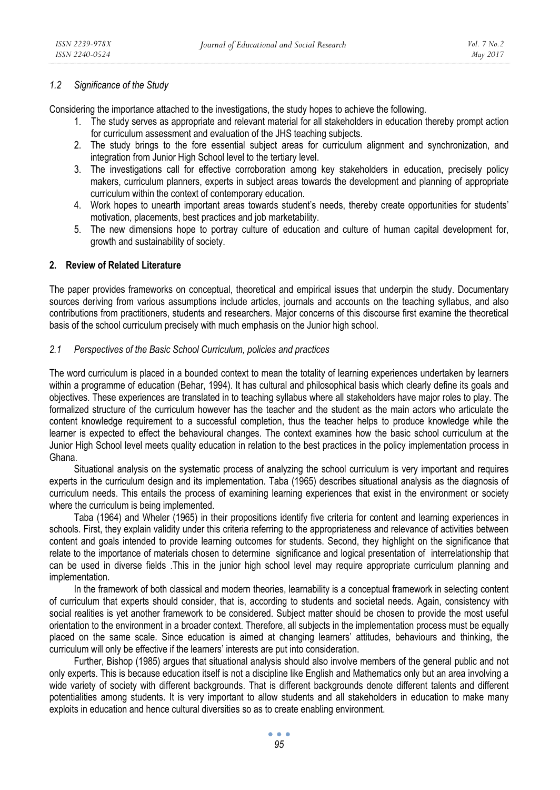# *1.2 Significance of the Study*

Considering the importance attached to the investigations, the study hopes to achieve the following.

- 1. The study serves as appropriate and relevant material for all stakeholders in education thereby prompt action for curriculum assessment and evaluation of the JHS teaching subjects.
- 2. The study brings to the fore essential subject areas for curriculum alignment and synchronization, and integration from Junior High School level to the tertiary level.
- 3. The investigations call for effective corroboration among key stakeholders in education, precisely policy makers, curriculum planners, experts in subject areas towards the development and planning of appropriate curriculum within the context of contemporary education.
- 4. Work hopes to unearth important areas towards student's needs, thereby create opportunities for students' motivation, placements, best practices and job marketability.
- 5. The new dimensions hope to portray culture of education and culture of human capital development for, growth and sustainability of society.

# **2. Review of Related Literature**

The paper provides frameworks on conceptual, theoretical and empirical issues that underpin the study. Documentary sources deriving from various assumptions include articles, journals and accounts on the teaching syllabus, and also contributions from practitioners, students and researchers. Major concerns of this discourse first examine the theoretical basis of the school curriculum precisely with much emphasis on the Junior high school.

### *2.1 Perspectives of the Basic School Curriculum, policies and practices*

The word curriculum is placed in a bounded context to mean the totality of learning experiences undertaken by learners within a programme of education (Behar, 1994). It has cultural and philosophical basis which clearly define its goals and objectives. These experiences are translated in to teaching syllabus where all stakeholders have major roles to play. The formalized structure of the curriculum however has the teacher and the student as the main actors who articulate the content knowledge requirement to a successful completion, thus the teacher helps to produce knowledge while the learner is expected to effect the behavioural changes. The context examines how the basic school curriculum at the Junior High School level meets quality education in relation to the best practices in the policy implementation process in Ghana.

Situational analysis on the systematic process of analyzing the school curriculum is very important and requires experts in the curriculum design and its implementation. Taba (1965) describes situational analysis as the diagnosis of curriculum needs. This entails the process of examining learning experiences that exist in the environment or society where the curriculum is being implemented.

Taba (1964) and Wheler (1965) in their propositions identify five criteria for content and learning experiences in schools. First, they explain validity under this criteria referring to the appropriateness and relevance of activities between content and goals intended to provide learning outcomes for students. Second, they highlight on the significance that relate to the importance of materials chosen to determine significance and logical presentation of interrelationship that can be used in diverse fields .This in the junior high school level may require appropriate curriculum planning and implementation.

In the framework of both classical and modern theories, learnability is a conceptual framework in selecting content of curriculum that experts should consider, that is, according to students and societal needs. Again, consistency with social realities is yet another framework to be considered. Subject matter should be chosen to provide the most useful orientation to the environment in a broader context. Therefore, all subjects in the implementation process must be equally placed on the same scale. Since education is aimed at changing learners' attitudes, behaviours and thinking, the curriculum will only be effective if the learners' interests are put into consideration.

Further, Bishop (1985) argues that situational analysis should also involve members of the general public and not only experts. This is because education itself is not a discipline like English and Mathematics only but an area involving a wide variety of society with different backgrounds. That is different backgrounds denote different talents and different potentialities among students. It is very important to allow students and all stakeholders in education to make many exploits in education and hence cultural diversities so as to create enabling environment.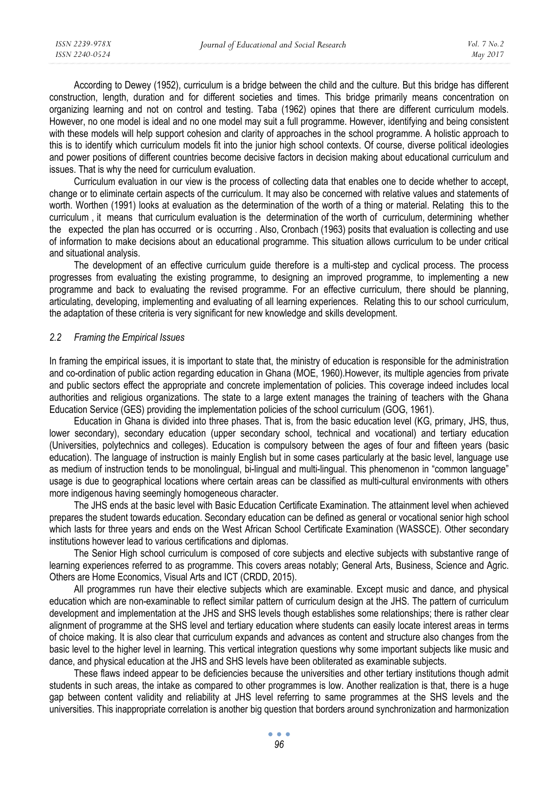According to Dewey (1952), curriculum is a bridge between the child and the culture. But this bridge has different construction, length, duration and for different societies and times. This bridge primarily means concentration on organizing learning and not on control and testing. Taba (1962) opines that there are different curriculum models. However, no one model is ideal and no one model may suit a full programme. However, identifying and being consistent with these models will help support cohesion and clarity of approaches in the school programme. A holistic approach to this is to identify which curriculum models fit into the junior high school contexts. Of course, diverse political ideologies and power positions of different countries become decisive factors in decision making about educational curriculum and issues. That is why the need for curriculum evaluation.

Curriculum evaluation in our view is the process of collecting data that enables one to decide whether to accept, change or to eliminate certain aspects of the curriculum. It may also be concerned with relative values and statements of worth. Worthen (1991) looks at evaluation as the determination of the worth of a thing or material. Relating this to the curriculum , it means that curriculum evaluation is the determination of the worth of curriculum, determining whether the expected the plan has occurred or is occurring . Also, Cronbach (1963) posits that evaluation is collecting and use of information to make decisions about an educational programme. This situation allows curriculum to be under critical and situational analysis.

The development of an effective curriculum guide therefore is a multi-step and cyclical process. The process progresses from evaluating the existing programme, to designing an improved programme, to implementing a new programme and back to evaluating the revised programme. For an effective curriculum, there should be planning, articulating, developing, implementing and evaluating of all learning experiences. Relating this to our school curriculum, the adaptation of these criteria is very significant for new knowledge and skills development.

#### *2.2 Framing the Empirical Issues*

In framing the empirical issues, it is important to state that, the ministry of education is responsible for the administration and co-ordination of public action regarding education in Ghana (MOE, 1960).However, its multiple agencies from private and public sectors effect the appropriate and concrete implementation of policies. This coverage indeed includes local authorities and religious organizations. The state to a large extent manages the training of teachers with the Ghana Education Service (GES) providing the implementation policies of the school curriculum (GOG, 1961).

Education in Ghana is divided into three phases. That is, from the basic education level (KG, primary, JHS, thus, lower secondary), secondary education (upper secondary school, technical and vocational) and tertiary education (Universities, polytechnics and colleges). Education is compulsory between the ages of four and fifteen years (basic education). The language of instruction is mainly English but in some cases particularly at the basic level, language use as medium of instruction tends to be monolingual, bi-lingual and multi-lingual. This phenomenon in "common language" usage is due to geographical locations where certain areas can be classified as multi-cultural environments with others more indigenous having seemingly homogeneous character.

The JHS ends at the basic level with Basic Education Certificate Examination. The attainment level when achieved prepares the student towards education. Secondary education can be defined as general or vocational senior high school which lasts for three years and ends on the West African School Certificate Examination (WASSCE). Other secondary institutions however lead to various certifications and diplomas.

The Senior High school curriculum is composed of core subjects and elective subjects with substantive range of learning experiences referred to as programme. This covers areas notably; General Arts, Business, Science and Agric. Others are Home Economics, Visual Arts and ICT (CRDD, 2015).

All programmes run have their elective subjects which are examinable. Except music and dance, and physical education which are non-examinable to reflect similar pattern of curriculum design at the JHS. The pattern of curriculum development and implementation at the JHS and SHS levels though establishes some relationships; there is rather clear alignment of programme at the SHS level and tertiary education where students can easily locate interest areas in terms of choice making. It is also clear that curriculum expands and advances as content and structure also changes from the basic level to the higher level in learning. This vertical integration questions why some important subjects like music and dance, and physical education at the JHS and SHS levels have been obliterated as examinable subjects.

These flaws indeed appear to be deficiencies because the universities and other tertiary institutions though admit students in such areas, the intake as compared to other programmes is low. Another realization is that, there is a huge gap between content validity and reliability at JHS level referring to same programmes at the SHS levels and the universities. This inappropriate correlation is another big question that borders around synchronization and harmonization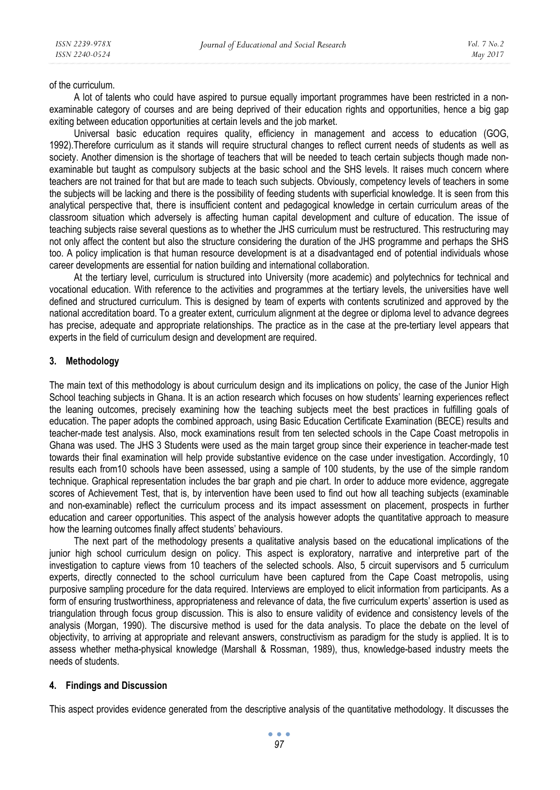of the curriculum.

A lot of talents who could have aspired to pursue equally important programmes have been restricted in a nonexaminable category of courses and are being deprived of their education rights and opportunities, hence a big gap exiting between education opportunities at certain levels and the job market.

Universal basic education requires quality, efficiency in management and access to education (GOG, 1992).Therefore curriculum as it stands will require structural changes to reflect current needs of students as well as society. Another dimension is the shortage of teachers that will be needed to teach certain subjects though made nonexaminable but taught as compulsory subjects at the basic school and the SHS levels. It raises much concern where teachers are not trained for that but are made to teach such subjects. Obviously, competency levels of teachers in some the subjects will be lacking and there is the possibility of feeding students with superficial knowledge. It is seen from this analytical perspective that, there is insufficient content and pedagogical knowledge in certain curriculum areas of the classroom situation which adversely is affecting human capital development and culture of education. The issue of teaching subjects raise several questions as to whether the JHS curriculum must be restructured. This restructuring may not only affect the content but also the structure considering the duration of the JHS programme and perhaps the SHS too. A policy implication is that human resource development is at a disadvantaged end of potential individuals whose career developments are essential for nation building and international collaboration.

At the tertiary level, curriculum is structured into University (more academic) and polytechnics for technical and vocational education. With reference to the activities and programmes at the tertiary levels, the universities have well defined and structured curriculum. This is designed by team of experts with contents scrutinized and approved by the national accreditation board. To a greater extent, curriculum alignment at the degree or diploma level to advance degrees has precise, adequate and appropriate relationships. The practice as in the case at the pre-tertiary level appears that experts in the field of curriculum design and development are required.

# **3. Methodology**

The main text of this methodology is about curriculum design and its implications on policy, the case of the Junior High School teaching subjects in Ghana. It is an action research which focuses on how students' learning experiences reflect the leaning outcomes, precisely examining how the teaching subjects meet the best practices in fulfilling goals of education. The paper adopts the combined approach, using Basic Education Certificate Examination (BECE) results and teacher-made test analysis. Also, mock examinations result from ten selected schools in the Cape Coast metropolis in Ghana was used. The JHS 3 Students were used as the main target group since their experience in teacher-made test towards their final examination will help provide substantive evidence on the case under investigation. Accordingly, 10 results each from10 schools have been assessed, using a sample of 100 students, by the use of the simple random technique. Graphical representation includes the bar graph and pie chart. In order to adduce more evidence, aggregate scores of Achievement Test, that is, by intervention have been used to find out how all teaching subjects (examinable and non-examinable) reflect the curriculum process and its impact assessment on placement, prospects in further education and career opportunities. This aspect of the analysis however adopts the quantitative approach to measure how the learning outcomes finally affect students' behaviours.

The next part of the methodology presents a qualitative analysis based on the educational implications of the junior high school curriculum design on policy. This aspect is exploratory, narrative and interpretive part of the investigation to capture views from 10 teachers of the selected schools. Also, 5 circuit supervisors and 5 curriculum experts, directly connected to the school curriculum have been captured from the Cape Coast metropolis, using purposive sampling procedure for the data required. Interviews are employed to elicit information from participants. As a form of ensuring trustworthiness, appropriateness and relevance of data, the five curriculum experts' assertion is used as triangulation through focus group discussion. This is also to ensure validity of evidence and consistency levels of the analysis (Morgan, 1990). The discursive method is used for the data analysis. To place the debate on the level of objectivity, to arriving at appropriate and relevant answers, constructivism as paradigm for the study is applied. It is to assess whether metha-physical knowledge (Marshall & Rossman, 1989), thus, knowledge-based industry meets the needs of students.

### **4. Findings and Discussion**

This aspect provides evidence generated from the descriptive analysis of the quantitative methodology. It discusses the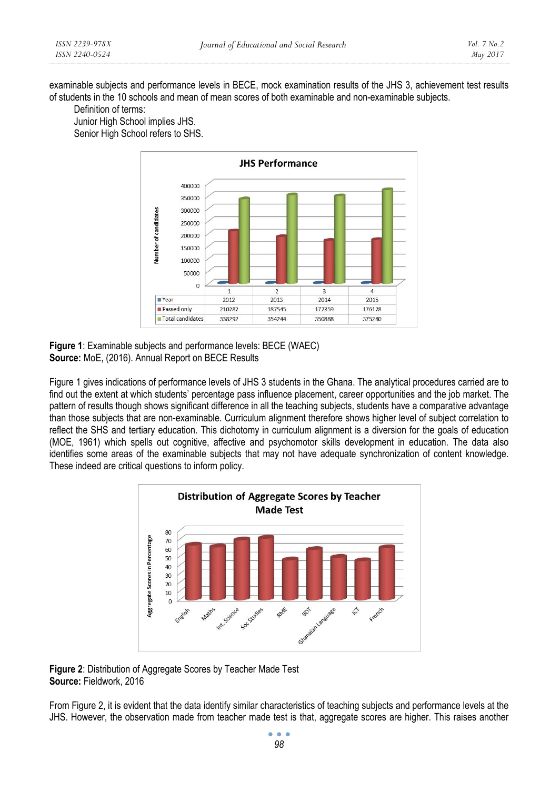examinable subjects and performance levels in BECE, mock examination results of the JHS 3, achievement test results of students in the 10 schools and mean of mean scores of both examinable and non-examinable subjects.

Definition of terms:

Junior High School implies JHS. Senior High School refers to SHS.



**Figure 1**: Examinable subjects and performance levels: BECE (WAEC) **Source:** MoE, (2016). Annual Report on BECE Results

Figure 1 gives indications of performance levels of JHS 3 students in the Ghana. The analytical procedures carried are to find out the extent at which students' percentage pass influence placement, career opportunities and the job market. The pattern of results though shows significant difference in all the teaching subjects, students have a comparative advantage than those subjects that are non-examinable. Curriculum alignment therefore shows higher level of subject correlation to reflect the SHS and tertiary education. This dichotomy in curriculum alignment is a diversion for the goals of education (MOE, 1961) which spells out cognitive, affective and psychomotor skills development in education. The data also identifies some areas of the examinable subjects that may not have adequate synchronization of content knowledge. These indeed are critical questions to inform policy.



**Figure 2**: Distribution of Aggregate Scores by Teacher Made Test **Source:** Fieldwork, 2016

From Figure 2, it is evident that the data identify similar characteristics of teaching subjects and performance levels at the JHS. However, the observation made from teacher made test is that, aggregate scores are higher. This raises another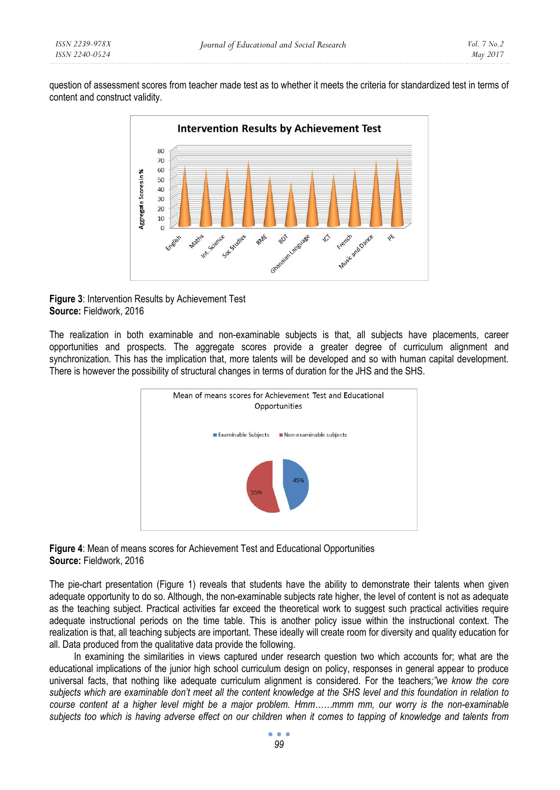question of assessment scores from teacher made test as to whether it meets the criteria for standardized test in terms of content and construct validity.





The realization in both examinable and non-examinable subjects is that, all subjects have placements, career opportunities and prospects. The aggregate scores provide a greater degree of curriculum alignment and synchronization. This has the implication that, more talents will be developed and so with human capital development. There is however the possibility of structural changes in terms of duration for the JHS and the SHS.





The pie-chart presentation (Figure 1) reveals that students have the ability to demonstrate their talents when given adequate opportunity to do so. Although, the non-examinable subjects rate higher, the level of content is not as adequate as the teaching subject. Practical activities far exceed the theoretical work to suggest such practical activities require adequate instructional periods on the time table. This is another policy issue within the instructional context. The realization is that, all teaching subjects are important. These ideally will create room for diversity and quality education for all. Data produced from the qualitative data provide the following.

In examining the similarities in views captured under research question two which accounts for; what are the educational implications of the junior high school curriculum design on policy, responses in general appear to produce universal facts, that nothing like adequate curriculum alignment is considered. For the teachers*;"we know the core subjects which are examinable don't meet all the content knowledge at the SHS level and this foundation in relation to course content at a higher level might be a major problem. Hmm……mmm mm, our worry is the non-examinable subjects too which is having adverse effect on our children when it comes to tapping of knowledge and talents from*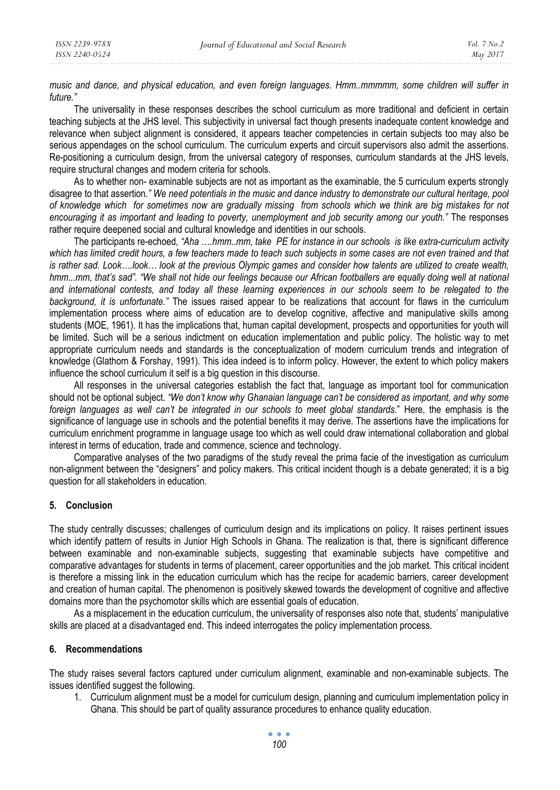*music and dance, and physical education, and even foreign languages. Hmm..mmmmm, some children will suffer in future."*

The universality in these responses describes the school curriculum as more traditional and deficient in certain teaching subjects at the JHS level. This subjectivity in universal fact though presents inadequate content knowledge and relevance when subject alignment is considered, it appears teacher competencies in certain subjects too may also be serious appendages on the school curriculum. The curriculum experts and circuit supervisors also admit the assertions. Re-positioning a curriculum design, frrom the universal category of responses, curriculum standards at the JHS levels, require structural changes and modern criteria for schools.

As to whether non- examinable subjects are not as important as the examinable, the 5 curriculum experts strongly disagree to that assertion*." We need potentials in the music and dance industry to demonstrate our cultural heritage, pool of knowledge which for sometimes now are gradually missing from schools which we think are big mistakes for not encouraging it as important and leading to poverty, unemployment and job security among our youth."* The responses rather require deepened social and cultural knowledge and identities in our schools.

The participants re-echoed*, "Aha ….hmm..mm, take PE for instance in our schools is like extra-curriculum activity which has limited credit hours, a few teachers made to teach such subjects in some cases are not even trained and that is rather sad. Look….look… look at the previous Olympic games and consider how talents are utilized to create wealth,*  hmm...mm, that's sad". "We shall not hide our feelings because our African footballers are equally doing well at national *and international contests, and today all these learning experiences in our schools seem to be relegated to the background, it is unfortunate."* The issues raised appear to be realizations that account for flaws in the curriculum implementation process where aims of education are to develop cognitive, affective and manipulative skills among students (MOE, 1961). It has the implications that, human capital development, prospects and opportunities for youth will be limited. Such will be a serious indictment on education implementation and public policy. The holistic way to met appropriate curriculum needs and standards is the conceptualization of modern curriculum trends and integration of knowledge (Glathorn & Forshay, 1991). This idea indeed is to inform policy. However, the extent to which policy makers influence the school curriculum it self is a big question in this discourse.

All responses in the universal categories establish the fact that, language as important tool for communication should not be optional subject. *"We don't know why Ghanaian language can't be considered as important, and why some foreign languages as well can't be integrated in our schools to meet global standards*." Here, the emphasis is the significance of language use in schools and the potential benefits it may derive. The assertions have the implications for curriculum enrichment programme in language usage too which as well could draw international collaboration and global interest in terms of education, trade and commence, science and technology.

Comparative analyses of the two paradigms of the study reveal the prima facie of the investigation as curriculum non-alignment between the "designers" and policy makers. This critical incident though is a debate generated; it is a big question for all stakeholders in education.

### **5. Conclusion**

The study centrally discusses; challenges of curriculum design and its implications on policy. It raises pertinent issues which identify pattern of results in Junior High Schools in Ghana. The realization is that, there is significant difference between examinable and non-examinable subjects, suggesting that examinable subjects have competitive and comparative advantages for students in terms of placement, career opportunities and the job market. This critical incident is therefore a missing link in the education curriculum which has the recipe for academic barriers, career development and creation of human capital. The phenomenon is positively skewed towards the development of cognitive and affective domains more than the psychomotor skills which are essential goals of education.

As a misplacement in the education curriculum, the universality of responses also note that, students' manipulative skills are placed at a disadvantaged end. This indeed interrogates the policy implementation process.

### **6. Recommendations**

The study raises several factors captured under curriculum alignment, examinable and non-examinable subjects. The issues identified suggest the following.

1. Curriculum alignment must be a model for curriculum design, planning and curriculum implementation policy in Ghana. This should be part of quality assurance procedures to enhance quality education.